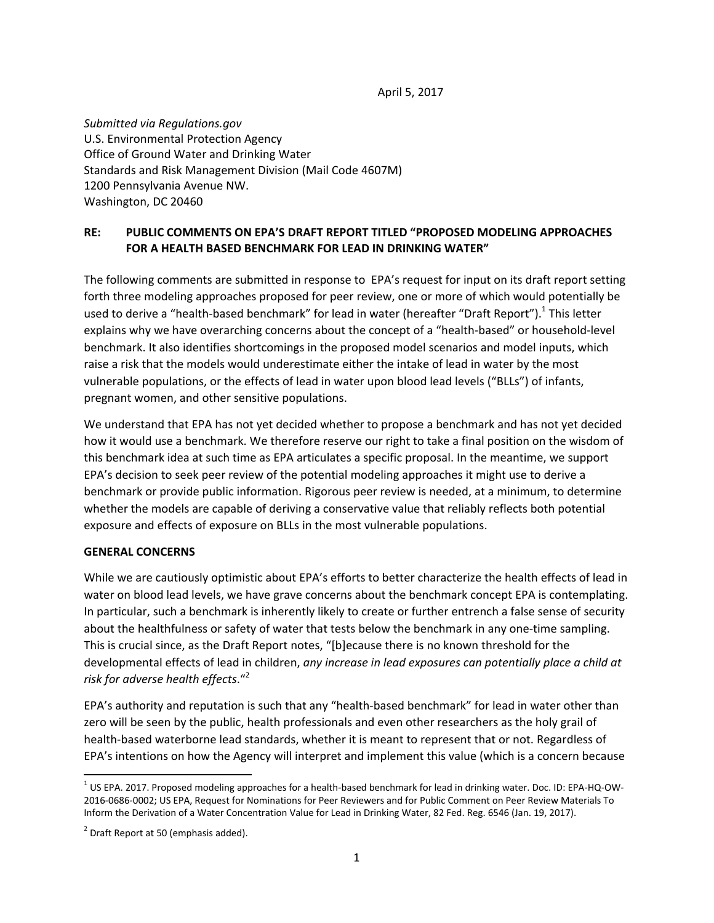April 5, 2017

*Submitted via Regulations.gov* U.S. Environmental Protection Agency Office of Ground Water and Drinking Water Standards and Risk Management Division (Mail Code 4607M) 1200 Pennsylvania Avenue NW. Washington, DC 20460

## **RE: PUBLIC COMMENTS ON EPA'S DRAFT REPORT TITLED "PROPOSED MODELING APPROACHES FOR A HEALTH BASED BENCHMARK FOR LEAD IN DRINKING WATER"**

The following comments are submitted in response to EPA's request for input on its draft report setting forth three modeling approaches proposed for peer review, one or more of which would potentially be used to derive a "health-based benchmark" for lead in water (hereafter "Draft Report").<sup>1</sup> This letter explains why we have overarching concerns about the concept of a "health-based" or household-level benchmark. It also identifies shortcomings in the proposed model scenarios and model inputs, which raise a risk that the models would underestimate either the intake of lead in water by the most vulnerable populations, or the effects of lead in water upon blood lead levels ("BLLs") of infants, pregnant women, and other sensitive populations.

We understand that EPA has not yet decided whether to propose a benchmark and has not yet decided how it would use a benchmark. We therefore reserve our right to take a final position on the wisdom of this benchmark idea at such time as EPA articulates a specific proposal. In the meantime, we support EPA's decision to seek peer review of the potential modeling approaches it might use to derive a benchmark or provide public information. Rigorous peer review is needed, at a minimum, to determine whether the models are capable of deriving a conservative value that reliably reflects both potential exposure and effects of exposure on BLLs in the most vulnerable populations.

### **GENERAL CONCERNS**

While we are cautiously optimistic about EPA's efforts to better characterize the health effects of lead in water on blood lead levels, we have grave concerns about the benchmark concept EPA is contemplating. In particular, such a benchmark is inherently likely to create or further entrench a false sense of security about the healthfulness or safety of water that tests below the benchmark in any one-time sampling. This is crucial since, as the Draft Report notes, "[b]ecause there is no known threshold for the developmental effects of lead in children, *any increase in lead exposures can potentially place a child at risk for adverse health effects*."<sup>2</sup>

EPA's authority and reputation is such that any "health-based benchmark" for lead in water other than zero will be seen by the public, health professionals and even other researchers as the holy grail of health-based waterborne lead standards, whether it is meant to represent that or not. Regardless of EPA's intentions on how the Agency will interpret and implement this value (which is a concern because

  $1$  US EPA. 2017. Proposed modeling approaches for a health-based benchmark for lead in drinking water. Doc. ID: EPA-HQ-OW-2016‐0686‐0002; US EPA, Request for Nominations for Peer Reviewers and for Public Comment on Peer Review Materials To Inform the Derivation of a Water Concentration Value for Lead in Drinking Water, 82 Fed. Reg. 6546 (Jan. 19, 2017).

 $<sup>2</sup>$  Draft Report at 50 (emphasis added).</sup>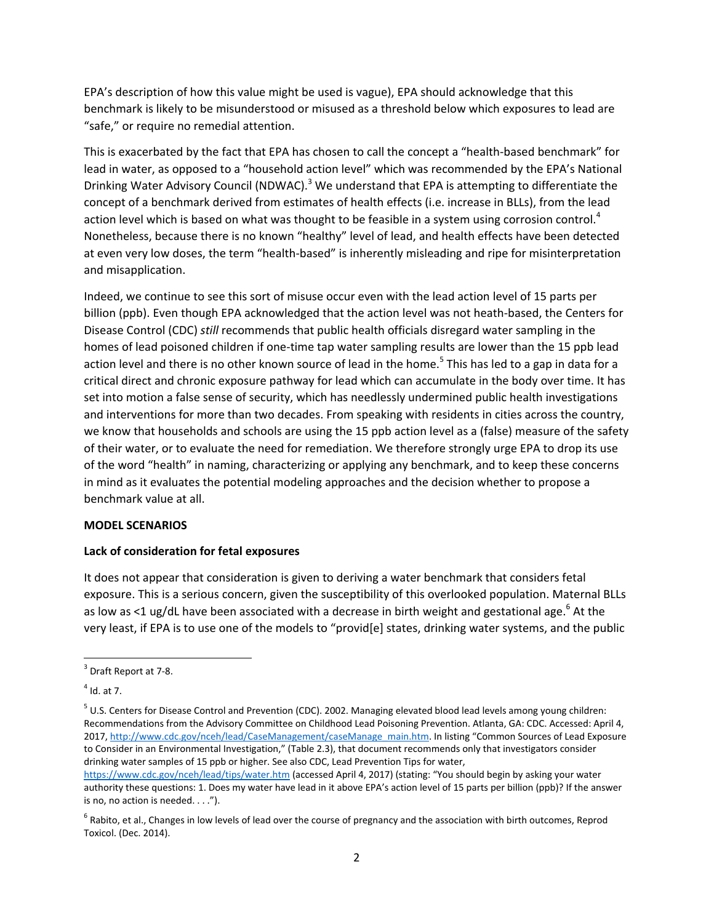EPA's description of how this value might be used is vague), EPA should acknowledge that this benchmark is likely to be misunderstood or misused as a threshold below which exposures to lead are "safe," or require no remedial attention.

This is exacerbated by the fact that EPA has chosen to call the concept a "health‐based benchmark" for lead in water, as opposed to a "household action level" which was recommended by the EPA's National Drinking Water Advisory Council (NDWAC).<sup>3</sup> We understand that EPA is attempting to differentiate the concept of a benchmark derived from estimates of health effects (i.e. increase in BLLs), from the lead action level which is based on what was thought to be feasible in a system using corrosion control.<sup>4</sup> Nonetheless, because there is no known "healthy" level of lead, and health effects have been detected at even very low doses, the term "health‐based" is inherently misleading and ripe for misinterpretation and misapplication.

Indeed, we continue to see this sort of misuse occur even with the lead action level of 15 parts per billion (ppb). Even though EPA acknowledged that the action level was not heath-based, the Centers for Disease Control (CDC) *still* recommends that public health officials disregard water sampling in the homes of lead poisoned children if one-time tap water sampling results are lower than the 15 ppb lead action level and there is no other known source of lead in the home.<sup>5</sup> This has led to a gap in data for a critical direct and chronic exposure pathway for lead which can accumulate in the body over time. It has set into motion a false sense of security, which has needlessly undermined public health investigations and interventions for more than two decades. From speaking with residents in cities across the country, we know that households and schools are using the 15 ppb action level as a (false) measure of the safety of their water, or to evaluate the need for remediation. We therefore strongly urge EPA to drop its use of the word "health" in naming, characterizing or applying any benchmark, and to keep these concerns in mind as it evaluates the potential modeling approaches and the decision whether to propose a benchmark value at all.

### **MODEL SCENARIOS**

### **Lack of consideration for fetal exposures**

It does not appear that consideration is given to deriving a water benchmark that considers fetal exposure. This is a serious concern, given the susceptibility of this overlooked population. Maternal BLLs as low as <1 ug/dL have been associated with a decrease in birth weight and gestational age.<sup>6</sup> At the very least, if EPA is to use one of the models to "provid[e] states, drinking water systems, and the public

 $3$  Draft Report at 7-8.

 $<sup>4</sup>$  Id. at 7.</sup>

 $5$  U.S. Centers for Disease Control and Prevention (CDC). 2002. Managing elevated blood lead levels among young children: Recommendations from the Advisory Committee on Childhood Lead Poisoning Prevention. Atlanta, GA: CDC. Accessed: April 4, 2017, http://www.cdc.gov/nceh/lead/CaseManagement/caseManage\_main.htm. In listing "Common Sources of Lead Exposure to Consider in an Environmental Investigation," (Table 2.3), that document recommends only that investigators consider drinking water samples of 15 ppb or higher. See also CDC, Lead Prevention Tips for water,

https://www.cdc.gov/nceh/lead/tips/water.htm (accessed April 4, 2017) (stating: "You should begin by asking your water authority these questions: 1. Does my water have lead in it above EPA's action level of 15 parts per billion (ppb)? If the answer is no, no action is needed.  $\dots$ ").

 $6$  Rabito, et al., Changes in low levels of lead over the course of pregnancy and the association with birth outcomes, Reprod Toxicol. (Dec. 2014).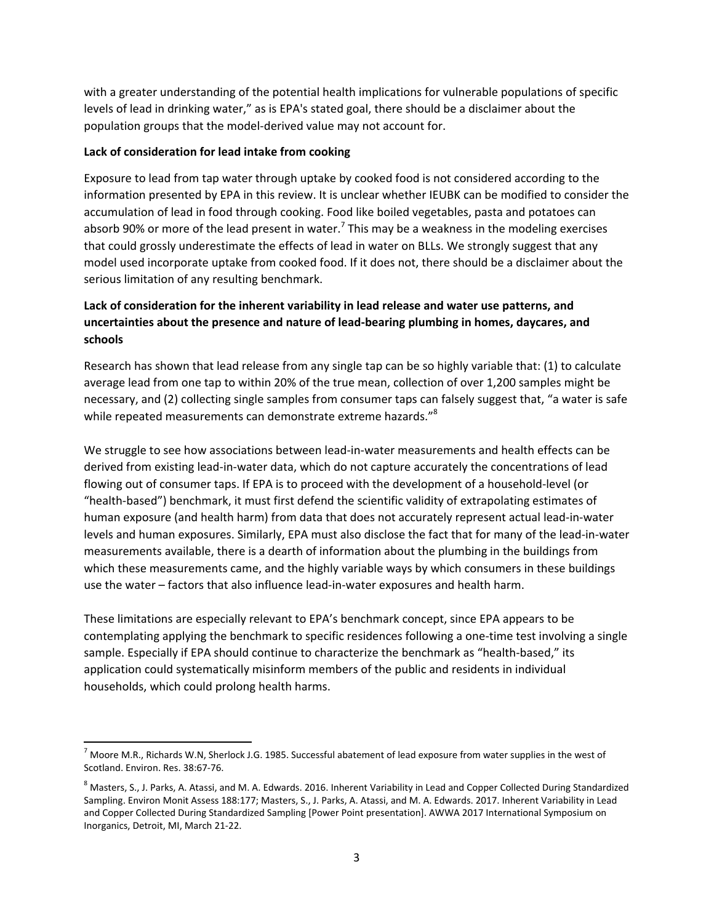with a greater understanding of the potential health implications for vulnerable populations of specific levels of lead in drinking water," as is EPA's stated goal, there should be a disclaimer about the population groups that the model‐derived value may not account for.

### **Lack of consideration for lead intake from cooking**

Exposure to lead from tap water through uptake by cooked food is not considered according to the information presented by EPA in this review. It is unclear whether IEUBK can be modified to consider the accumulation of lead in food through cooking. Food like boiled vegetables, pasta and potatoes can absorb 90% or more of the lead present in water.<sup>7</sup> This may be a weakness in the modeling exercises that could grossly underestimate the effects of lead in water on BLLs. We strongly suggest that any model used incorporate uptake from cooked food. If it does not, there should be a disclaimer about the serious limitation of any resulting benchmark.

# **Lack of consideration for the inherent variability in lead release and water use patterns, and uncertainties about the presence and nature of lead‐bearing plumbing in homes, daycares, and schools**

Research has shown that lead release from any single tap can be so highly variable that: (1) to calculate average lead from one tap to within 20% of the true mean, collection of over 1,200 samples might be necessary, and (2) collecting single samples from consumer taps can falsely suggest that, "a water is safe while repeated measurements can demonstrate extreme hazards."<sup>8</sup>

We struggle to see how associations between lead-in-water measurements and health effects can be derived from existing lead‐in‐water data, which do not capture accurately the concentrations of lead flowing out of consumer taps. If EPA is to proceed with the development of a household‐level (or "health‐based") benchmark, it must first defend the scientific validity of extrapolating estimates of human exposure (and health harm) from data that does not accurately represent actual lead‐in‐water levels and human exposures. Similarly, EPA must also disclose the fact that for many of the lead‐in‐water measurements available, there is a dearth of information about the plumbing in the buildings from which these measurements came, and the highly variable ways by which consumers in these buildings use the water – factors that also influence lead-in-water exposures and health harm.

These limitations are especially relevant to EPA's benchmark concept, since EPA appears to be contemplating applying the benchmark to specific residences following a one-time test involving a single sample. Especially if EPA should continue to characterize the benchmark as "health-based," its application could systematically misinform members of the public and residents in individual households, which could prolong health harms.

 $^7$  Moore M.R., Richards W.N, Sherlock J.G. 1985. Successful abatement of lead exposure from water supplies in the west of Scotland. Environ. Res. 38:67‐76.

 $^8$  Masters, S., J. Parks, A. Atassi, and M. A. Edwards. 2016. Inherent Variability in Lead and Copper Collected During Standardized Sampling. Environ Monit Assess 188:177; Masters, S., J. Parks, A. Atassi, and M. A. Edwards. 2017. Inherent Variability in Lead and Copper Collected During Standardized Sampling [Power Point presentation]. AWWA 2017 International Symposium on Inorganics, Detroit, MI, March 21‐22.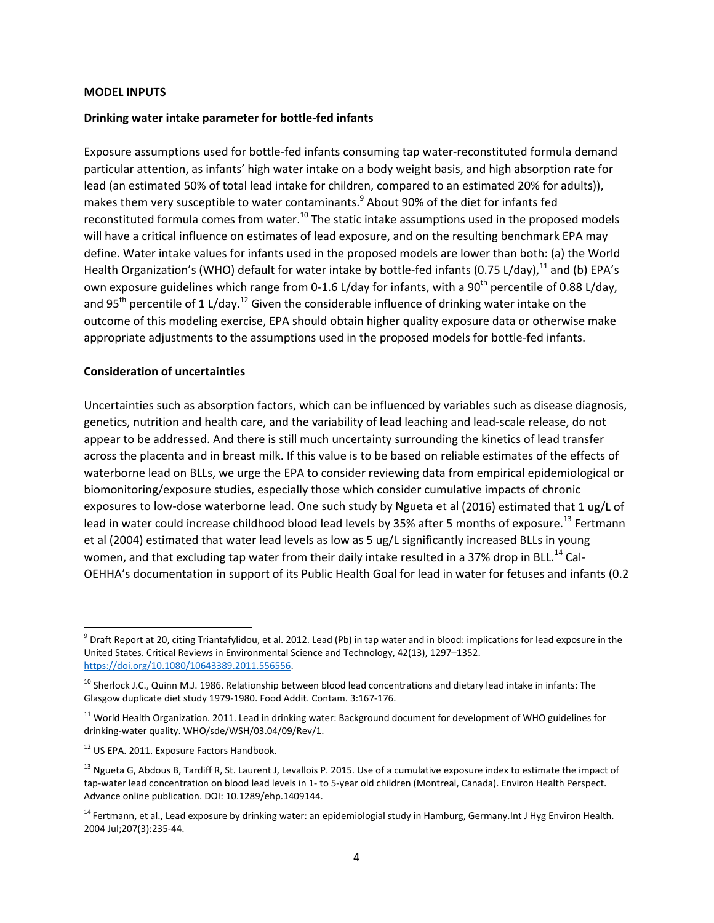#### **MODEL INPUTS**

#### **Drinking water intake parameter for bottle‐fed infants**

Exposure assumptions used for bottle‐fed infants consuming tap water‐reconstituted formula demand particular attention, as infants' high water intake on a body weight basis, and high absorption rate for lead (an estimated 50% of total lead intake for children, compared to an estimated 20% for adults)), makes them very susceptible to water contaminants.<sup>9</sup> About 90% of the diet for infants fed reconstituted formula comes from water.<sup>10</sup> The static intake assumptions used in the proposed models will have a critical influence on estimates of lead exposure, and on the resulting benchmark EPA may define. Water intake values for infants used in the proposed models are lower than both: (a) the World Health Organization's (WHO) default for water intake by bottle-fed infants (0.75 L/day), <sup>11</sup> and (b) EPA's own exposure guidelines which range from 0-1.6 L/day for infants, with a 90<sup>th</sup> percentile of 0.88 L/day, and 95<sup>th</sup> percentile of 1 L/day.<sup>12</sup> Given the considerable influence of drinking water intake on the outcome of this modeling exercise, EPA should obtain higher quality exposure data or otherwise make appropriate adjustments to the assumptions used in the proposed models for bottle‐fed infants.

#### **Consideration of uncertainties**

Uncertainties such as absorption factors, which can be influenced by variables such as disease diagnosis, genetics, nutrition and health care, and the variability of lead leaching and lead‐scale release, do not appear to be addressed. And there is still much uncertainty surrounding the kinetics of lead transfer across the placenta and in breast milk. If this value is to be based on reliable estimates of the effects of waterborne lead on BLLs, we urge the EPA to consider reviewing data from empirical epidemiological or biomonitoring/exposure studies, especially those which consider cumulative impacts of chronic exposures to low-dose waterborne lead. One such study by Ngueta et al (2016) estimated that 1 ug/L of lead in water could increase childhood blood lead levels by 35% after 5 months of exposure.<sup>13</sup> Fertmann et al (2004) estimated that water lead levels as low as 5 ug/L significantly increased BLLs in young women, and that excluding tap water from their daily intake resulted in a 37% drop in BLL.<sup>14</sup> Cal-OEHHA's documentation in support of its Public Health Goal for lead in water for fetuses and infants (0.2

 $9$  Draft Report at 20, citing Triantafylidou, et al. 2012. Lead (Pb) in tap water and in blood: implications for lead exposure in the United States. Critical Reviews in Environmental Science and Technology, 42(13), 1297–1352. https://doi.org/10.1080/10643389.2011.556556.

<sup>&</sup>lt;sup>10</sup> Sherlock J.C., Quinn M.J. 1986. Relationship between blood lead concentrations and dietary lead intake in infants: The Glasgow duplicate diet study 1979‐1980. Food Addit. Contam. 3:167‐176.

<sup>&</sup>lt;sup>11</sup> World Health Organization. 2011. Lead in drinking water: Background document for development of WHO guidelines for drinking‐water quality. WHO/sde/WSH/03.04/09/Rev/1.

<sup>&</sup>lt;sup>12</sup> US EPA. 2011. Exposure Factors Handbook.

 $^{13}$  Ngueta G, Abdous B, Tardiff R, St. Laurent J, Levallois P. 2015. Use of a cumulative exposure index to estimate the impact of tap-water lead concentration on blood lead levels in 1- to 5-year old children (Montreal, Canada). Environ Health Perspect. Advance online publication. DOI: 10.1289/ehp.1409144.

<sup>&</sup>lt;sup>14</sup> Fertmann. et al., Lead exposure by drinking water: an epidemiologial study in Hamburg, Germany.Int J Hyg Environ Health. 2004 Jul;207(3):235‐44.